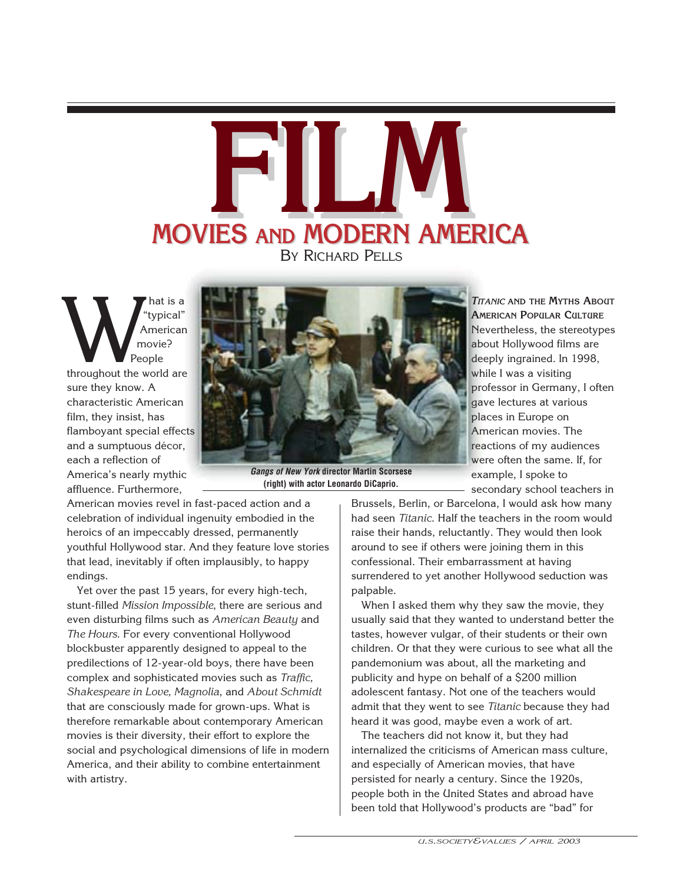# **MOVIES FILM AND AND MODERN AMERICA MODERN AMERICA** BY RICHARD PELLS

hat is a "typical" American movie? People throughout the world are<br>throughout the world are sure they know. A characteristic American film, they insist, has flamboyant special effects and a sumptuous décor, each a reflection of America's nearly mythic affluence. Furthermore,



*Gangs of New York* **director Martin Scorsese (right) with actor Leonardo DiCaprio.**

American movies revel in fast-paced action and a celebration of individual ingenuity embodied in the heroics of an impeccably dressed, permanently youthful Hollywood star. And they feature love stories that lead, inevitably if often implausibly, to happy endings.

Yet over the past 15 years, for every high-tech, stunt-filled *Mission Impossible*, there are serious and even disturbing films such as *American Beauty* and *The Hours*. For every conventional Hollywood blockbuster apparently designed to appeal to the predilections of 12-year-old boys, there have been complex and sophisticated movies such as *Traffic, Shakespeare in Love, Magnolia*, and *About Schmidt* that are consciously made for grown-ups. What is therefore remarkable about contemporary American movies is their diversity, their effort to explore the social and psychological dimensions of life in modern America, and their ability to combine entertainment with artistry.

*TITANIC* **AND THE MYTHS ABOUT AMERICAN POPULAR CULTURE** Nevertheless, the stereotypes about Hollywood films are deeply ingrained. In 1998, while I was a visiting professor in Germany, I often gave lectures at various places in Europe on American movies. The reactions of my audiences were often the same. If, for example, I spoke to secondary school teachers in

Brussels, Berlin, or Barcelona, I would ask how many had seen *Titanic*. Half the teachers in the room would raise their hands, reluctantly. They would then look around to see if others were joining them in this confessional. Their embarrassment at having surrendered to yet another Hollywood seduction was palpable.

When I asked them why they saw the movie, they usually said that they wanted to understand better the tastes, however vulgar, of their students or their own children. Or that they were curious to see what all the pandemonium was about, all the marketing and publicity and hype on behalf of a \$200 million adolescent fantasy. Not one of the teachers would admit that they went to see *Titanic* because they had heard it was good, maybe even a work of art.

The teachers did not know it, but they had internalized the criticisms of American mass culture, and especially of American movies, that have persisted for nearly a century. Since the 1920s, people both in the United States and abroad have been told that Hollywood's products are "bad" for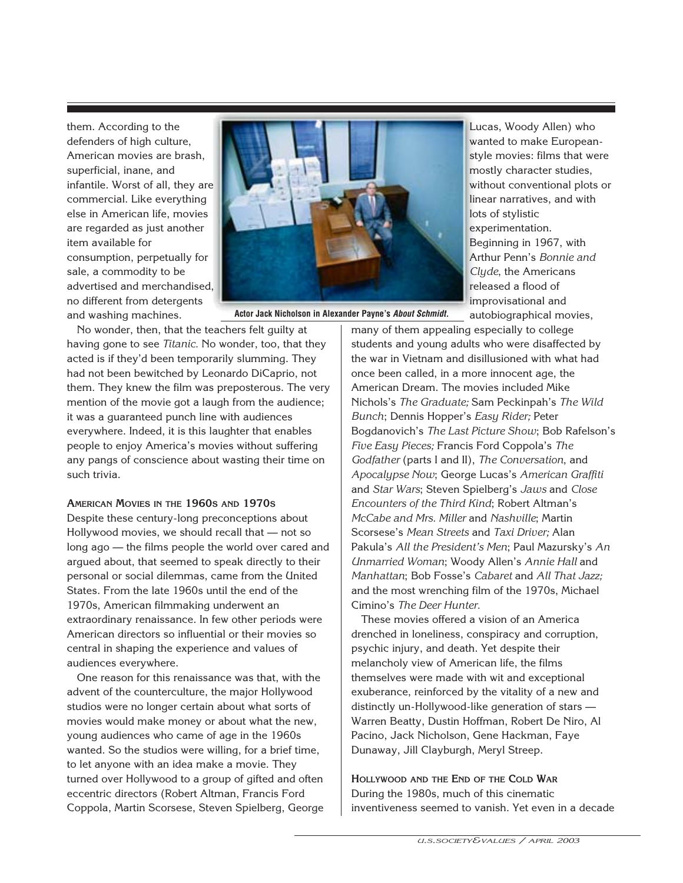them. According to the defenders of high culture, American movies are brash, superficial, inane, and infantile. Worst of all, they are commercial. Like everything else in American life, movies are regarded as just another item available for consumption, perpetually for sale, a commodity to be advertised and merchandised, no different from detergents and washing machines.



**Actor Jack Nicholson in Alexander Payne's** *About Schmidt.*

No wonder, then, that the teachers felt guilty at having gone to see *Titanic.* No wonder, too, that they acted is if they'd been temporarily slumming. They had not been bewitched by Leonardo DiCaprio, not them. They knew the film was preposterous. The very mention of the movie got a laugh from the audience; it was a guaranteed punch line with audiences everywhere. Indeed, it is this laughter that enables people to enjoy America's movies without suffering any pangs of conscience about wasting their time on such trivia.

#### **AMERICAN MOVIES IN THE 1960S AND 1970S**

Despite these century-long preconceptions about Hollywood movies, we should recall that — not so long ago — the films people the world over cared and argued about, that seemed to speak directly to their personal or social dilemmas, came from the United States. From the late 1960s until the end of the 1970s, American filmmaking underwent an extraordinary renaissance. In few other periods were American directors so influential or their movies so central in shaping the experience and values of audiences everywhere.

One reason for this renaissance was that, with the advent of the counterculture, the major Hollywood studios were no longer certain about what sorts of movies would make money or about what the new, young audiences who came of age in the 1960s wanted. So the studios were willing, for a brief time, to let anyone with an idea make a movie. They turned over Hollywood to a group of gifted and often eccentric directors (Robert Altman, Francis Ford Coppola, Martin Scorsese, Steven Spielberg, George

Lucas, Woody Allen) who wanted to make Europeanstyle movies: films that were mostly character studies, without conventional plots or linear narratives, and with lots of stylistic experimentation. Beginning in 1967, with Arthur Penn's *Bonnie and Clyde*, the Americans released a flood of improvisational and autobiographical movies,

many of them appealing especially to college students and young adults who were disaffected by the war in Vietnam and disillusioned with what had once been called, in a more innocent age, the American Dream. The movies included Mike Nichols's *The Graduate;* Sam Peckinpah's *The Wild Bunch*; Dennis Hopper's *Easy Rider;* Peter Bogdanovich's *The Last Picture Show*; Bob Rafelson's *Five Easy Pieces;* Francis Ford Coppola's *The Godfather* (parts I and II), *The Conversation*, and *Apocalypse Now*; George Lucas's *American Graffiti* and *Star Wars*; Steven Spielberg's *Jaws* and *Close Encounters of the Third Kind*; Robert Altman's *McCabe and Mrs. Miller* and *Nashville*; Martin Scorsese's *Mean Streets* and *Taxi Driver;* Alan Pakula's *All the President's Men*; Paul Mazursky's *An Unmarried Woman*; Woody Allen's *Annie Hall* and *Manhattan*; Bob Fosse's *Cabaret* and *All That Jazz;* and the most wrenching film of the 1970s, Michael Cimino's *The Deer Hunter.*

These movies offered a vision of an America drenched in loneliness, conspiracy and corruption, psychic injury, and death. Yet despite their melancholy view of American life, the films themselves were made with wit and exceptional exuberance, reinforced by the vitality of a new and distinctly un-Hollywood-like generation of stars — Warren Beatty, Dustin Hoffman, Robert De Niro, Al Pacino, Jack Nicholson, Gene Hackman, Faye Dunaway, Jill Clayburgh, Meryl Streep.

**HOLLYWOOD AND THE END OF THE COLD WAR** During the 1980s, much of this cinematic inventiveness seemed to vanish. Yet even in a decade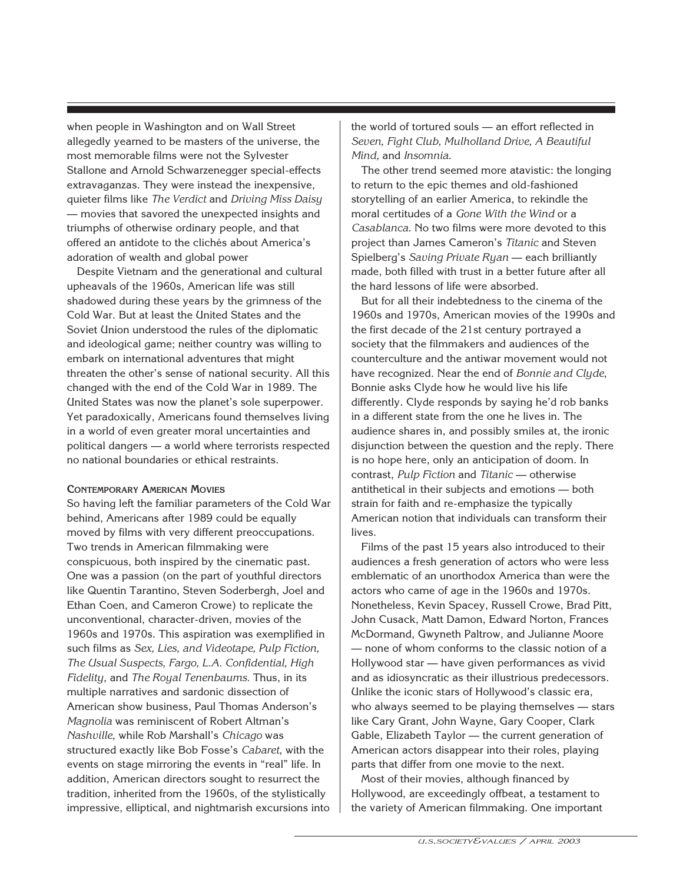when people in Washington and on Wall Street allegedly yearned to be masters of the universe, the most memorable films were not the Sylvester Stallone and Arnold Schwarzenegger special-effects extravaganzas. They were instead the inexpensive, quieter films like *The Verdict* and *Driving Miss Daisy* — movies that savored the unexpected insights and triumphs of otherwise ordinary people, and that offered an antidote to the clichés about America's adoration of wealth and global power

Despite Vietnam and the generational and cultural upheavals of the 1960s, American life was still shadowed during these years by the grimness of the Cold War. But at least the United States and the Soviet Union understood the rules of the diplomatic and ideological game; neither country was willing to embark on international adventures that might threaten the other's sense of national security. All this changed with the end of the Cold War in 1989. The United States was now the planet's sole superpower. Yet paradoxically, Americans found themselves living in a world of even greater moral uncertainties and political dangers — a world where terrorists respected no national boundaries or ethical restraints.

#### **CONTEMPORARY AMERICAN MOVIES**

So having left the familiar parameters of the Cold War behind, Americans after 1989 could be equally moved by films with very different preoccupations. Two trends in American filmmaking were conspicuous, both inspired by the cinematic past. One was a passion (on the part of youthful directors like Quentin Tarantino, Steven Soderbergh, Joel and Ethan Coen, and Cameron Crowe) to replicate the unconventional, character-driven, movies of the 1960s and 1970s. This aspiration was exemplified in such films as *Sex, Lies, and Videotape, Pulp Fiction, The Usual Suspects, Fargo, L.A. Confidential, High Fidelity*, and *The Royal Tenenbaums.* Thus, in its multiple narratives and sardonic dissection of American show business, Paul Thomas Anderson's *Magnolia* was reminiscent of Robert Altman's *Nashville*, while Rob Marshall's *Chicago* was structured exactly like Bob Fosse's *Cabaret*, with the events on stage mirroring the events in "real" life. In addition, American directors sought to resurrect the tradition, inherited from the 1960s, of the stylistically impressive, elliptical, and nightmarish excursions into

the world of tortured souls — an effort reflected in *Seven, Fight Club, Mulholland Drive, A Beautiful Mind,* and *Insomnia*.

The other trend seemed more atavistic: the longing to return to the epic themes and old-fashioned storytelling of an earlier America, to rekindle the moral certitudes of a *Gone With the Wind* or a *Casablanca*. No two films were more devoted to this project than James Cameron's *Titanic* and Steven Spielberg's *Saving Private Ryan* — each brilliantly made, both filled with trust in a better future after all the hard lessons of life were absorbed.

But for all their indebtedness to the cinema of the 1960s and 1970s, American movies of the 1990s and the first decade of the 21st century portrayed a society that the filmmakers and audiences of the counterculture and the antiwar movement would not have recognized. Near the end of *Bonnie and Clyde*, Bonnie asks Clyde how he would live his life differently. Clyde responds by saying he'd rob banks in a different state from the one he lives in. The audience shares in, and possibly smiles at, the ironic disjunction between the question and the reply. There is no hope here, only an anticipation of doom. In contrast, *Pulp Fiction* and *Titanic* — otherwise antithetical in their subjects and emotions — both strain for faith and re-emphasize the typically American notion that individuals can transform their lives.

Films of the past 15 years also introduced to their audiences a fresh generation of actors who were less emblematic of an unorthodox America than were the actors who came of age in the 1960s and 1970s. Nonetheless, Kevin Spacey, Russell Crowe, Brad Pitt, John Cusack, Matt Damon, Edward Norton, Frances McDormand, Gwyneth Paltrow, and Julianne Moore — none of whom conforms to the classic notion of a Hollywood star — have given performances as vivid and as idiosyncratic as their illustrious predecessors. Unlike the iconic stars of Hollywood's classic era, who always seemed to be playing themselves — stars like Cary Grant, John Wayne, Gary Cooper, Clark Gable, Elizabeth Taylor — the current generation of American actors disappear into their roles, playing parts that differ from one movie to the next.

Most of their movies, although financed by Hollywood, are exceedingly offbeat, a testament to the variety of American filmmaking. One important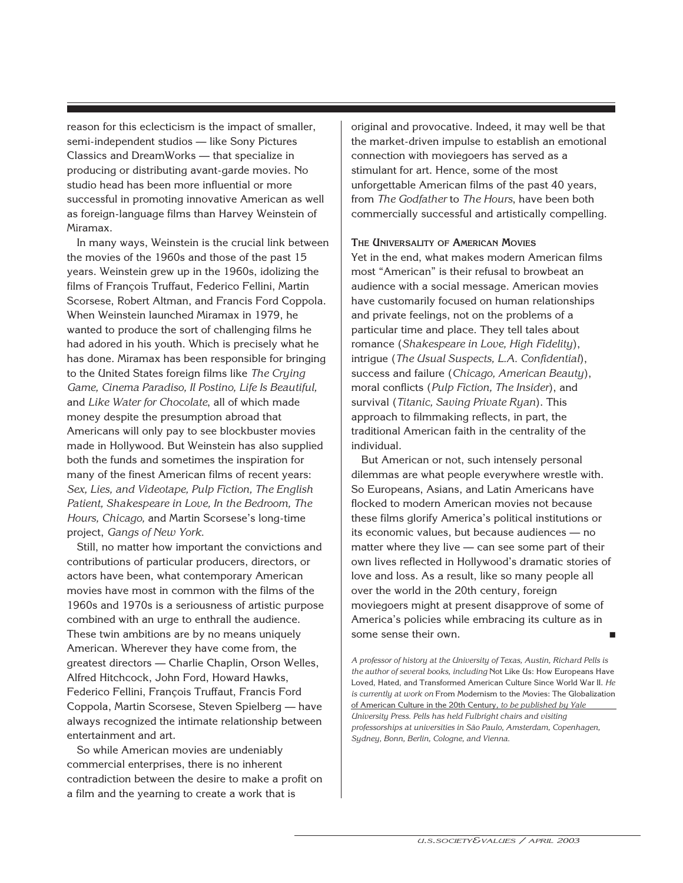reason for this eclecticism is the impact of smaller, semi-independent studios — like Sony Pictures Classics and DreamWorks — that specialize in producing or distributing avant-garde movies. No studio head has been more influential or more successful in promoting innovative American as well as foreign-language films than Harvey Weinstein of Miramax.

In many ways, Weinstein is the crucial link between the movies of the 1960s and those of the past 15 years. Weinstein grew up in the 1960s, idolizing the films of François Truffaut, Federico Fellini, Martin Scorsese, Robert Altman, and Francis Ford Coppola. When Weinstein launched Miramax in 1979, he wanted to produce the sort of challenging films he had adored in his youth. Which is precisely what he has done. Miramax has been responsible for bringing to the United States foreign films like *The Crying Game, Cinema Paradiso, Il Postino, Life Is Beautiful,* and *Like Water for Chocolate*, all of which made money despite the presumption abroad that Americans will only pay to see blockbuster movies made in Hollywood. But Weinstein has also supplied both the funds and sometimes the inspiration for many of the finest American films of recent years: *Sex, Lies, and Videotape, Pulp Fiction, The English Patient, Shakespeare in Love, In the Bedroom, The Hours, Chicago,* and Martin Scorsese's long-time project, *Gangs of New York.* 

Still, no matter how important the convictions and contributions of particular producers, directors, or actors have been, what contemporary American movies have most in common with the films of the 1960s and 1970s is a seriousness of artistic purpose combined with an urge to enthrall the audience. These twin ambitions are by no means uniquely American. Wherever they have come from, the greatest directors — Charlie Chaplin, Orson Welles, Alfred Hitchcock, John Ford, Howard Hawks, Federico Fellini, François Truffaut, Francis Ford Coppola, Martin Scorsese, Steven Spielberg — have always recognized the intimate relationship between entertainment and art.

So while American movies are undeniably commercial enterprises, there is no inherent contradiction between the desire to make a profit on a film and the yearning to create a work that is

original and provocative. Indeed, it may well be that the market-driven impulse to establish an emotional connection with moviegoers has served as a stimulant for art. Hence, some of the most unforgettable American films of the past 40 years, from *The Godfather* to *The Hours*, have been both commercially successful and artistically compelling.

**THE UNIVERSALITY OF AMERICAN MOVIES** Yet in the end, what makes modern American films most "American" is their refusal to browbeat an audience with a social message. American movies have customarily focused on human relationships and private feelings, not on the problems of a particular time and place. They tell tales about romance (*Shakespeare in Love, High Fidelity*), intrigue (*The Usual Suspects, L.A. Confidential*), success and failure (*Chicago, American Beauty*), moral conflicts (*Pulp Fiction, The Insider*), and survival (*Titanic, Saving Private Ryan*). This approach to filmmaking reflects, in part, the traditional American faith in the centrality of the individual.

But American or not, such intensely personal dilemmas are what people everywhere wrestle with. So Europeans, Asians, and Latin Americans have flocked to modern American movies not because these films glorify America's political institutions or its economic values, but because audiences — no matter where they live — can see some part of their own lives reflected in Hollywood's dramatic stories of love and loss. As a result, like so many people all over the world in the 20th century, foreign moviegoers might at present disapprove of some of America's policies while embracing its culture as in some sense their own.

*A professor of history at the University of Texas, Austin, Richard Pells is the author of several books, including* Not Like Us: How Europeans Have Loved, Hated, and Transformed American Culture Since World War II. *He is currently at work on* From Modernism to the Movies: The Globalization of American Culture in the 20th Century*, to be published by Yale University Press. Pells has held Fulbright chairs and visiting professorships at universities in São Paulo, Amsterdam, Copenhagen, Sydney, Bonn, Berlin, Cologne, and Vienna.*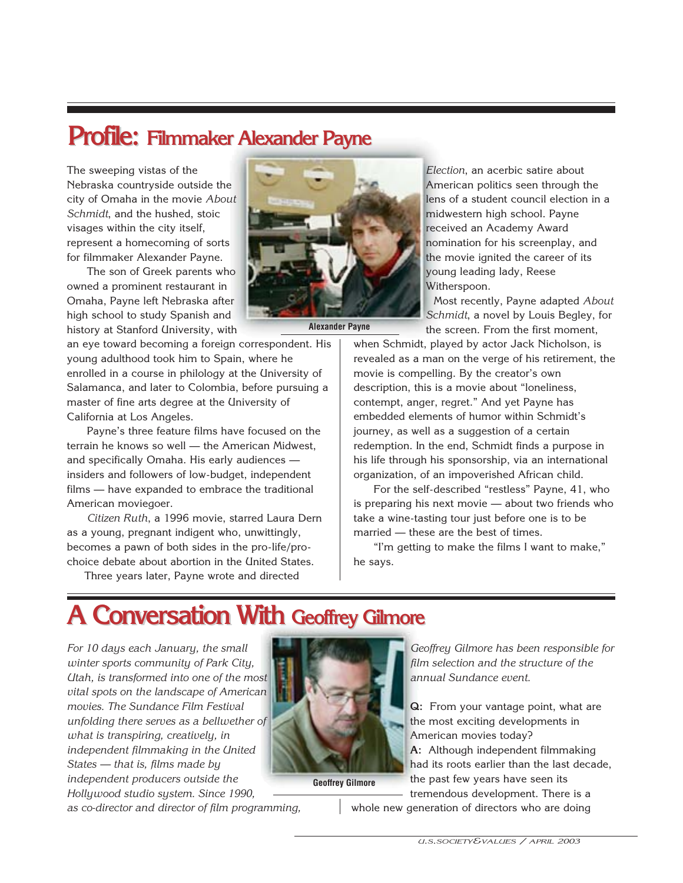## **Profile: Filmmaker Alexander Payne Filmmaker Alexander Payne**

The sweeping vistas of the Nebraska countryside outside the city of Omaha in the movie *About Schmidt*, and the hushed, stoic visages within the city itself, represent a homecoming of sorts for filmmaker Alexander Payne.

The son of Greek parents who owned a prominent restaurant in Omaha, Payne left Nebraska after high school to study Spanish and history at Stanford University, with

an eye toward becoming a foreign correspondent. His young adulthood took him to Spain, where he enrolled in a course in philology at the University of Salamanca, and later to Colombia, before pursuing a master of fine arts degree at the University of California at Los Angeles.

Payne's three feature films have focused on the terrain he knows so well — the American Midwest, and specifically Omaha. His early audiences insiders and followers of low-budget, independent films — have expanded to embrace the traditional American moviegoer.

*Citizen Ruth*, a 1996 movie, starred Laura Dern as a young, pregnant indigent who, unwittingly, becomes a pawn of both sides in the pro-life/prochoice debate about abortion in the United States.

Three years later, Payne wrote and directed



**Alexander Payne**

*Election*, an acerbic satire about American politics seen through the lens of a student council election in a midwestern high school. Payne received an Academy Award nomination for his screenplay, and the movie ignited the career of its young leading lady, Reese Witherspoon.

Most recently, Payne adapted *About Schmidt*, a novel by Louis Begley, for the screen. From the first moment,

when Schmidt, played by actor Jack Nicholson, is revealed as a man on the verge of his retirement, the movie is compelling. By the creator's own description, this is a movie about "loneliness, contempt, anger, regret." And yet Payne has embedded elements of humor within Schmidt's journey, as well as a suggestion of a certain redemption. In the end, Schmidt finds a purpose in his life through his sponsorship, via an international organization, of an impoverished African child.

For the self-described "restless" Payne, 41, who is preparing his next movie — about two friends who take a wine-tasting tour just before one is to be married — these are the best of times.

"I'm getting to make the films I want to make," he says.

### **A Conversation With Geoffrey Gilmore**

*For 10 days each January, the small winter sports community of Park City, Utah, is transformed into one of the most vital spots on the landscape of American movies. The Sundance Film Festival unfolding there serves as a bellwether of what is transpiring, creatively, in independent filmmaking in the United States — that is, films made by independent producers outside the Hollywood studio system. Since 1990,*



**Geoffrey Gilmore**

*Geoffrey Gilmore has been responsible for film selection and the structure of the annual Sundance event.*

**Q:** From your vantage point, what are the most exciting developments in American movies today? **A:** Although independent filmmaking had its roots earlier than the last decade, the past few years have seen its tremendous development. There is a whole new generation of directors who are doing

*as co-director and director of film programming,*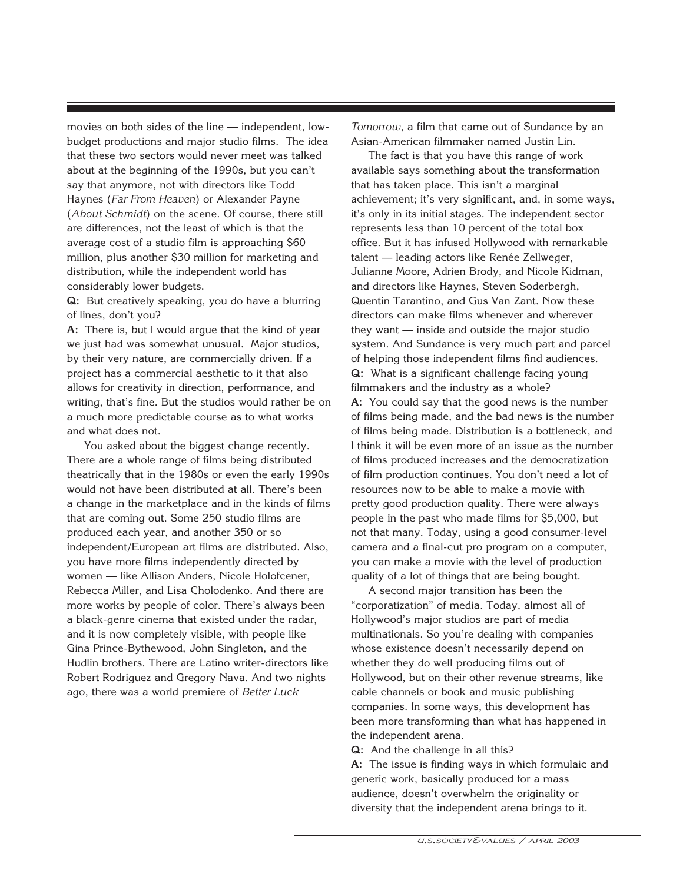movies on both sides of the line — independent, lowbudget productions and major studio films. The idea that these two sectors would never meet was talked about at the beginning of the 1990s, but you can't say that anymore, not with directors like Todd Haynes (*Far From Heaven*) or Alexander Payne (*About Schmidt*) on the scene. Of course, there still are differences, not the least of which is that the average cost of a studio film is approaching \$60 million, plus another \$30 million for marketing and distribution, while the independent world has considerably lower budgets.

**Q:** But creatively speaking, you do have a blurring of lines, don't you?

**A:** There is, but I would argue that the kind of year we just had was somewhat unusual. Major studios, by their very nature, are commercially driven. If a project has a commercial aesthetic to it that also allows for creativity in direction, performance, and writing, that's fine. But the studios would rather be on a much more predictable course as to what works and what does not.

You asked about the biggest change recently. There are a whole range of films being distributed theatrically that in the 1980s or even the early 1990s would not have been distributed at all. There's been a change in the marketplace and in the kinds of films that are coming out. Some 250 studio films are produced each year, and another 350 or so independent/European art films are distributed. Also, you have more films independently directed by women — like Allison Anders, Nicole Holofcener, Rebecca Miller, and Lisa Cholodenko. And there are more works by people of color. There's always been a black-genre cinema that existed under the radar, and it is now completely visible, with people like Gina Prince-Bythewood, John Singleton, and the Hudlin brothers. There are Latino writer-directors like Robert Rodriguez and Gregory Nava. And two nights ago, there was a world premiere of *Better Luck*

*Tomorrow*, a film that came out of Sundance by an Asian-American filmmaker named Justin Lin.

The fact is that you have this range of work available says something about the transformation that has taken place. This isn't a marginal achievement; it's very significant, and, in some ways, it's only in its initial stages. The independent sector represents less than 10 percent of the total box office. But it has infused Hollywood with remarkable talent — leading actors like Renée Zellweger, Julianne Moore, Adrien Brody, and Nicole Kidman, and directors like Haynes, Steven Soderbergh, Quentin Tarantino, and Gus Van Zant. Now these directors can make films whenever and wherever they want — inside and outside the major studio system. And Sundance is very much part and parcel of helping those independent films find audiences. **Q:** What is a significant challenge facing young filmmakers and the industry as a whole? **A:** You could say that the good news is the number of films being made, and the bad news is the number of films being made. Distribution is a bottleneck, and I think it will be even more of an issue as the number of films produced increases and the democratization of film production continues. You don't need a lot of resources now to be able to make a movie with pretty good production quality. There were always people in the past who made films for \$5,000, but not that many. Today, using a good consumer-level camera and a final-cut pro program on a computer, you can make a movie with the level of production quality of a lot of things that are being bought.

A second major transition has been the "corporatization" of media. Today, almost all of Hollywood's major studios are part of media multinationals. So you're dealing with companies whose existence doesn't necessarily depend on whether they do well producing films out of Hollywood, but on their other revenue streams, like cable channels or book and music publishing companies. In some ways, this development has been more transforming than what has happened in the independent arena.

**Q:** And the challenge in all this?

**A:** The issue is finding ways in which formulaic and generic work, basically produced for a mass audience, doesn't overwhelm the originality or diversity that the independent arena brings to it.